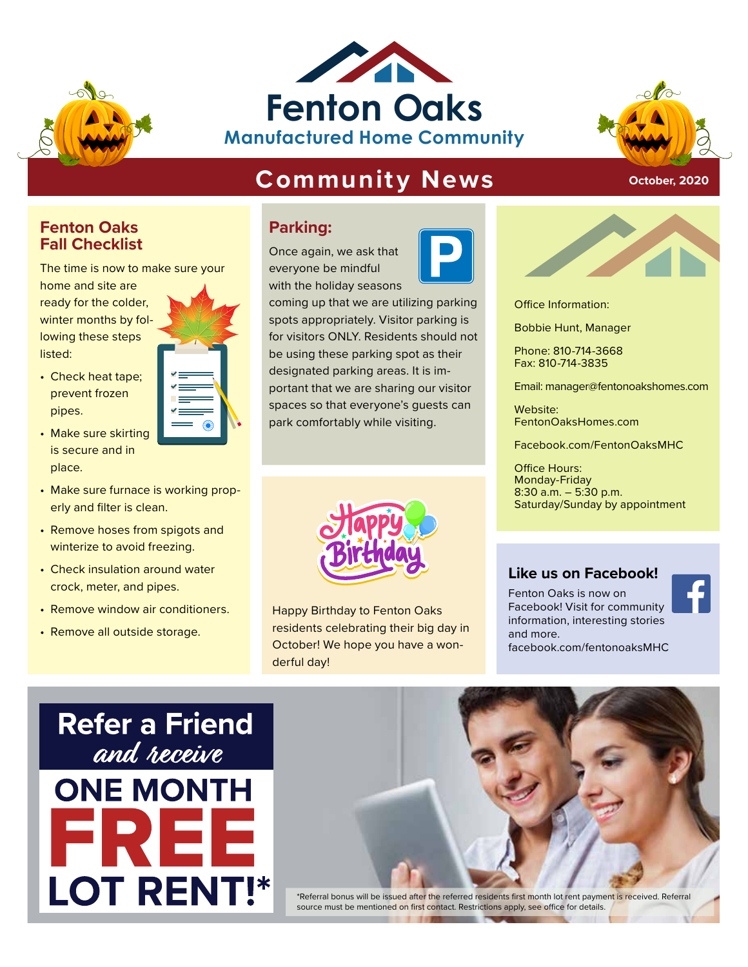





**October, 2020**

#### **Community News** TIME 1:30

# **Fenton Oaks Fall Checklist**

The time is now to make sure your

home and site are ready for the colder, winter months by following these steps listed:

- Check heat tape; prevent frozen pipes.
- Make sure skirting is secure and in place.
- Make sure furnace is working properly and filter is clean.
- Remove hoses from spigots and winterize to avoid freezing.
- Check insulation around water crock, meter, and pipes.
- Remove window air conditioners.
- Remove all outside storage.



Once again, we ask that everyone be mindful with the holiday seasons





Office Information: **Feature Structure Office Information:**<br> **Feature Bobbie Hunt, Manager** 

Bobbie Hunt, Manager

Phone: 810-714-3668 Fax: 810-714-3835

Email: manager@fentonoakshomes.com

Website: FentonOaksHomes.com

Facebook.com/FentonOaksMHC

Office Hours: Monday-Friday 8:30 a.m. – 5:30 p.m. Saturday/Sunday by appointment

#### **Like us on Facebook!**

Fenton Oaks is now on Facebook! Visit for community information, interesting stories and more. facebook.com/fentonoaksMHC



Happy Birthday to Fenton Oaks residents celebrating their big day in October! We hope you have a wonderful day!





\*Referral bonus will be issued after the referred residents first month lot rent payment is received. Referral source must be mentioned on first contact. Restrictions apply, see office for details.



t as their **Manufacture Phone: 810-714-3668**<br> **Manufacture Fax: 810-714-3835**